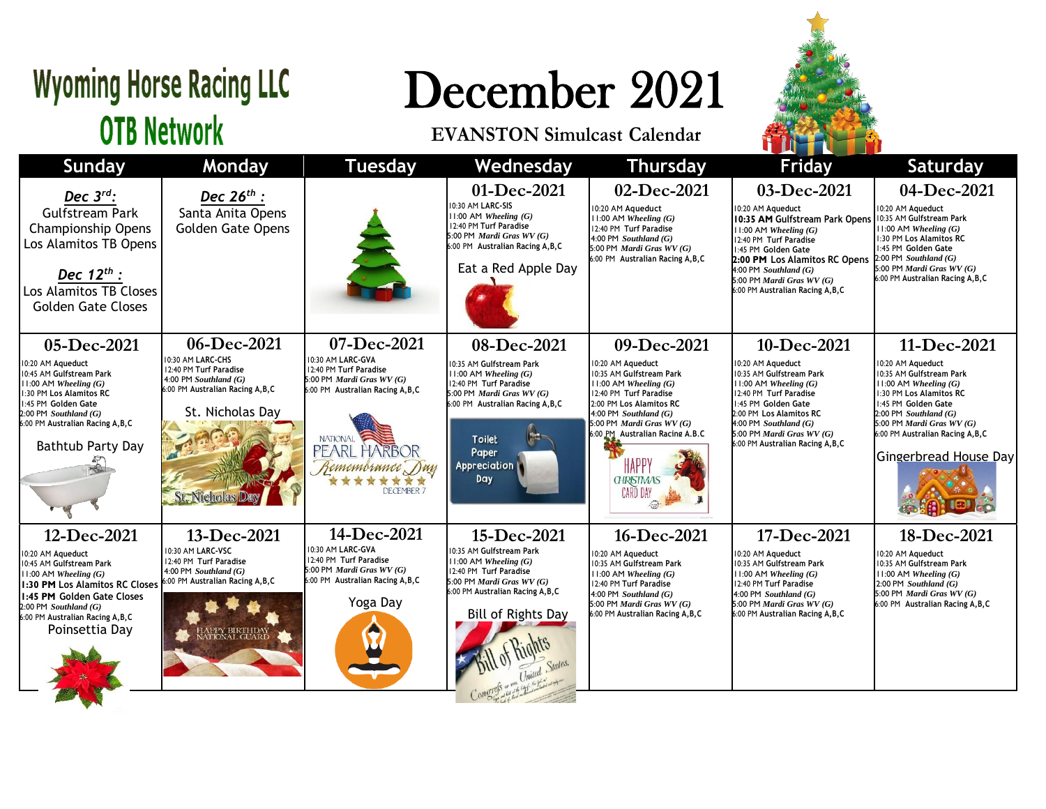## **Wyoming Horse Racing LLC OTB Network**

## December 2021

## **EVANSTON Simulcast Calendar**



|                                                                                                                                                                                                                                             |                                                                                                                                                                |                                                                                                                                                                                           |                                                                                                                                                                                                   |                                                                                                                                                                                                                                                                         | <b>THE REAL PROPERTY</b><br>an shekarar 19                                                                                                                                                                                                                                        |                                                                                                                                                                                                                                                               |
|---------------------------------------------------------------------------------------------------------------------------------------------------------------------------------------------------------------------------------------------|----------------------------------------------------------------------------------------------------------------------------------------------------------------|-------------------------------------------------------------------------------------------------------------------------------------------------------------------------------------------|---------------------------------------------------------------------------------------------------------------------------------------------------------------------------------------------------|-------------------------------------------------------------------------------------------------------------------------------------------------------------------------------------------------------------------------------------------------------------------------|-----------------------------------------------------------------------------------------------------------------------------------------------------------------------------------------------------------------------------------------------------------------------------------|---------------------------------------------------------------------------------------------------------------------------------------------------------------------------------------------------------------------------------------------------------------|
| <b>Sunday</b>                                                                                                                                                                                                                               | Monday                                                                                                                                                         | <b>Tuesday</b>                                                                                                                                                                            | Wednesday                                                                                                                                                                                         | <b>Thursday</b>                                                                                                                                                                                                                                                         | <b>Friday</b>                                                                                                                                                                                                                                                                     | <b>Saturday</b>                                                                                                                                                                                                                                               |
| Dec $3^{rd}$ :<br><b>Gulfstream Park</b><br><b>Championship Opens</b><br>Los Alamitos TB Opens<br>Dec $12^{th}$ :<br>Los Alamitos TB Closes<br><b>Golden Gate Closes</b>                                                                    | Dec $26^{th}$ :<br>Santa Anita Opens<br><b>Golden Gate Opens</b>                                                                                               |                                                                                                                                                                                           | 01-Dec-2021<br>0:30 AM LARC-SIS<br>$11:00$ AM Wheeling $(G)$<br>12:40 PM Turf Paradise<br>5:00 PM Mardi Gras WV (G)<br>6:00 PM Australian Racing A, B, C<br>Eat a Red Apple Day                   | 02-Dec-2021<br>10:20 AM Aqueduct<br>$11:00$ AM Wheeling $(G)$<br>12:40 PM Turf Paradise<br>4:00 PM $Southland(G)$<br>5:00 PM Mardi Gras $WV(G)$<br>6:00 PM Australian Racing A, B, C                                                                                    | 03-Dec-2021<br>10:20 AM Aqueduct<br>10:35 AM Gulfstream Park Opens<br>$11:00$ AM Wheeling $(G)$<br>12:40 PM Turf Paradise<br>1:45 PM Golden Gate<br>2:00 PM Los Alamitos RC Opens<br>$4:00$ PM Southland $(G)$<br>5:00 PM Mardi Gras $WV(G)$<br>6:00 PM Australian Racing A, B, C | 04-Dec-2021<br>10:20 AM Aqueduct<br>10:35 AM Gulfstream Park<br>$  \cdot   \cdot   \cdot  $ AM Wheeling $(G)$<br>1:30 PM Los Alamitos RC<br>1:45 PM Golden Gate<br>$2:00$ PM Southland (G)<br>5:00 PM Mardi Gras $WV(G)$<br>6:00 PM Australian Racing A, B, C |
| 05-Dec-2021                                                                                                                                                                                                                                 | 06-Dec-2021                                                                                                                                                    | 07-Dec-2021                                                                                                                                                                               | 08-Dec-2021                                                                                                                                                                                       | 09-Dec-2021                                                                                                                                                                                                                                                             | 10-Dec-2021                                                                                                                                                                                                                                                                       | 11-Dec-2021                                                                                                                                                                                                                                                   |
| 10:20 AM Aqueduct<br>10:45 AM Gulfstream Park<br>$11:00$ AM Wheeling $(G)$<br>1:30 PM Los Alamitos RC<br>1:45 PM Golden Gate<br>$2:00$ PM Southland $(G)$<br>6:00 PM Australian Racing A, B, C<br>Bathtub Party Day                         | 10:30 AM LARC-CHS<br>12:40 PM Turf Paradise<br>4:00 PM Southland $(G)$<br>6:00 PM Australian Racing A, B, C<br>St. Nicholas Day<br><b>St. Nicholas Da</b>      | 10:30 AM LARC-GVA<br>12:40 PM Turf Paradise<br>5:00 PM Mardi Gras $WV(G)$<br>6:00 PM Australian Racing A, B, C<br><b>NATIONAL</b><br>PEARL HARBOR<br>Remembrance Day<br><b>DECEMBER 7</b> | 0:35 AM Gulfstream Park<br>$11:00$ AM Wheeling $(G)$<br>12:40 PM Turf Paradise<br>5:00 PM Mardi Gras WV (G)<br>6:00 PM Australian Racing A, B, C<br><b>Toilet</b><br>Paper<br>Appreciation<br>Day | 10:20 AM Aqueduct<br>10:35 AM Gulfstream Park<br>$11:00$ AM Wheeling $(G)$<br>12:40 PM Turf Paradise<br>2:00 PM Los Alamitos RC<br>4:00 PM Southland (G)<br>5:00 PM Mardi Gras WV (G)<br>6:00 PM Australian Racing A.B.C<br>HAPP<br><b>GHRISTMAS</b><br><b>CARD DAY</b> | 10:20 AM Aqueduct<br>10:35 AM Gulfstream Park<br>$11:00$ AM Wheeling $(G)$<br>12:40 PM Turf Paradise<br>1:45 PM Golden Gate<br>2:00 PM Los Alamitos RC<br>$4:00$ PM Southland $(G)$<br>5:00 PM Mardi Gras $WV(G)$<br>6:00 PM Australian Racing A, B, C                            | 10:20 AM Aqueduct<br>10:35 AM Gulfstream Park<br>$11:00$ AM Wheeling $(G)$<br>1:30 PM Los Alamitos RC<br>1:45 PM Golden Gate<br>$2:00$ PM Southland $(G)$<br>5:00 PM <i>Mardi Gras WV</i> $(G)$<br>6:00 PM Australian Racing A, B, C<br>Gingerbread House Day |
| 12-Dec-2021<br>10:20 AM Aqueduct<br>10:45 AM Gulfstream Park<br>11:00 AM Wheeling $(G)$<br>1:30 PM Los Alamitos RC Closes<br>1:45 PM Golden Gate Closes<br>$2:00$ PM Southland $(G)$<br>6:00 PM Australian Racing A, B, C<br>Poinsettia Day | 13-Dec-2021<br>10:30 AM LARC-VSC<br>12:40 PM Turf Paradise<br>4:00 PM Southland $(G)$<br>6:00 PM Australian Racing A, B, C<br>HAPPY BIRTHDAY<br>NATIONAL GUARD | 14-Dec-2021<br>10:30 AM LARC-GVA<br>12:40 PM Turf Paradise<br>5:00 PM <i>Mardi Gras WV</i> $(G)$<br>6:00 PM Australian Racing A, B, C<br>Yoga Day                                         | 15-Dec-2021<br>10:35 AM Gulfstream Park<br>$11:00$ AM Wheeling $(G)$<br>12:40 PM Turf Paradise<br>5:00 PM Mardi Gras WV (G)<br>6:00 PM Australian Racing A, B, C<br>Bill of Rights Day            | 16-Dec-2021<br>10:20 AM Aqueduct<br>10:35 AM Gulfstream Park<br>$11:00$ AM Wheeling $(G)$<br>12:40 PM Turf Paradise<br>4:00 PM Southland $(G)$<br>5:00 PM Mardi Gras WV (G)<br>6:00 PM Australian Racing A, B, C                                                        | 17-Dec-2021<br>10:20 AM Aqueduct<br>10:35 AM Gulfstream Park<br>$11:00$ AM Wheeling $(G)$<br>12:40 PM Turf Paradise<br>4:00 PM Southland $(G)$<br>$5:00$ PM <i>Mardi Gras WV</i> (G)<br>6:00 PM Australian Racing A, B, C                                                         | 18-Dec-2021<br>10:20 AM Aqueduct<br>10:35 AM Gulfstream Park<br>$11:00$ AM Wheeling $(G)$<br>$2:00$ PM Southland $(G)$<br>5:00 PM Mardi Gras $WV(G)$<br>6:00 PM Australian Racing A, B, C                                                                     |